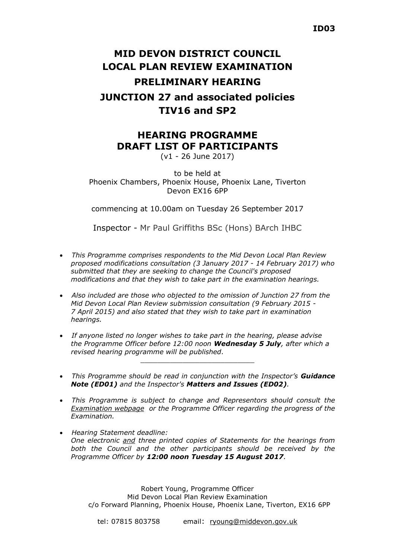# **MID DEVON DISTRICT COUNCIL LOCAL PLAN REVIEW EXAMINATION PRELIMINARY HEARING JUNCTION 27 and associated policies**

### **TIV16 and SP2**

## **HEARING PROGRAMME DRAFT LIST OF PARTICIPANTS**

(v1 - 26 June 2017)

to be held at Phoenix Chambers, Phoenix House, Phoenix Lane, Tiverton Devon EX16 6PP

commencing at 10.00am on Tuesday 26 September 2017

Inspector - Mr Paul Griffiths BSc (Hons) BArch IHBC

- *This Programme comprises respondents to the Mid Devon Local Plan Review proposed modifications consultation (3 January 2017 - 14 February 2017) who submitted that they are seeking to change the Council's proposed modifications and that they wish to take part in the examination hearings.*
- *Also included are those who objected to the omission of Junction 27 from the Mid Devon Local Plan Review submission consultation (9 February 2015 - 7 April 2015) and also stated that they wish to take part in examination hearings.*
- *If anyone listed no longer wishes to take part in the hearing, please advise the Programme Officer before 12:00 noon Wednesday 5 July, after which a revised hearing programme will be published.*
- *This Programme should be read in conjunction with the Inspector's Guidance Note (ED01) and the Inspector's Matters and Issues (ED02).*

\_\_\_\_\_\_\_\_\_\_\_\_\_\_\_\_\_\_\_\_\_\_\_\_\_\_\_

- *This Programme is subject to change and Representors should consult the [Examination webpage](https://www.middevon.gov.uk/residents/planning-policy/local-plan-review-examination/) or the Programme Officer regarding the progress of the Examination.*
- *Hearing Statement deadline: One electronic and three printed copies of Statements for the hearings from both the Council and the other participants should be received by the Programme Officer by 12:00 noon Tuesday 15 August 2017.*

Robert Young, Programme Officer Mid Devon Local Plan Review Examination c/o Forward Planning, Phoenix House, Phoenix Lane, Tiverton, EX16 6PP

tel: 07815 803758 email: [ryoung@middevon.gov.uk](mailto:ryoung@middevon.gov.uk)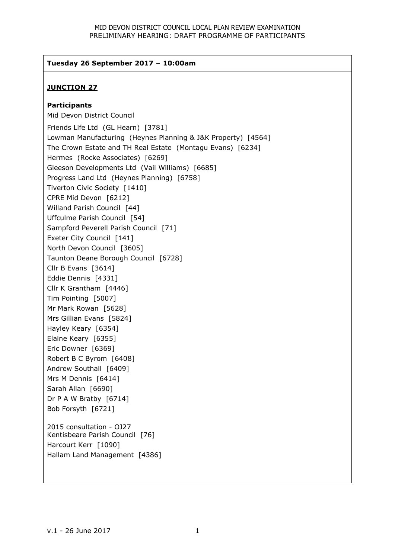#### **Tuesday 26 September 2017 – 10:00am**

#### **JUNCTION 27**

#### **Participants**

Mid Devon District Council Friends Life Ltd (GL Hearn) [3781] Lowman Manufacturing (Heynes Planning & J&K Property) [4564] The Crown Estate and TH Real Estate (Montagu Evans) [6234] Hermes (Rocke Associates) [6269] Gleeson Developments Ltd (Vail Williams) [6685] Progress Land Ltd (Heynes Planning) [6758] Tiverton Civic Society [1410] CPRE Mid Devon [6212] Willand Parish Council [44] Uffculme Parish Council [54] Sampford Peverell Parish Council [71] Exeter City Council [141] North Devon Council [3605] Taunton Deane Borough Council [6728] Cllr B Evans [3614] Eddie Dennis [4331] Cllr K Grantham [4446] Tim Pointing [5007] Mr Mark Rowan [5628] Mrs Gillian Evans [5824] Hayley Keary [6354] Elaine Keary [6355] Eric Downer [6369] Robert B C Byrom [6408] Andrew Southall [6409] Mrs M Dennis [6414] Sarah Allan [6690] Dr P A W Bratby [6714] Bob Forsyth [6721] 2015 consultation - OJ27 Kentisbeare Parish Council [76] Harcourt Kerr [1090] Hallam Land Management [4386]